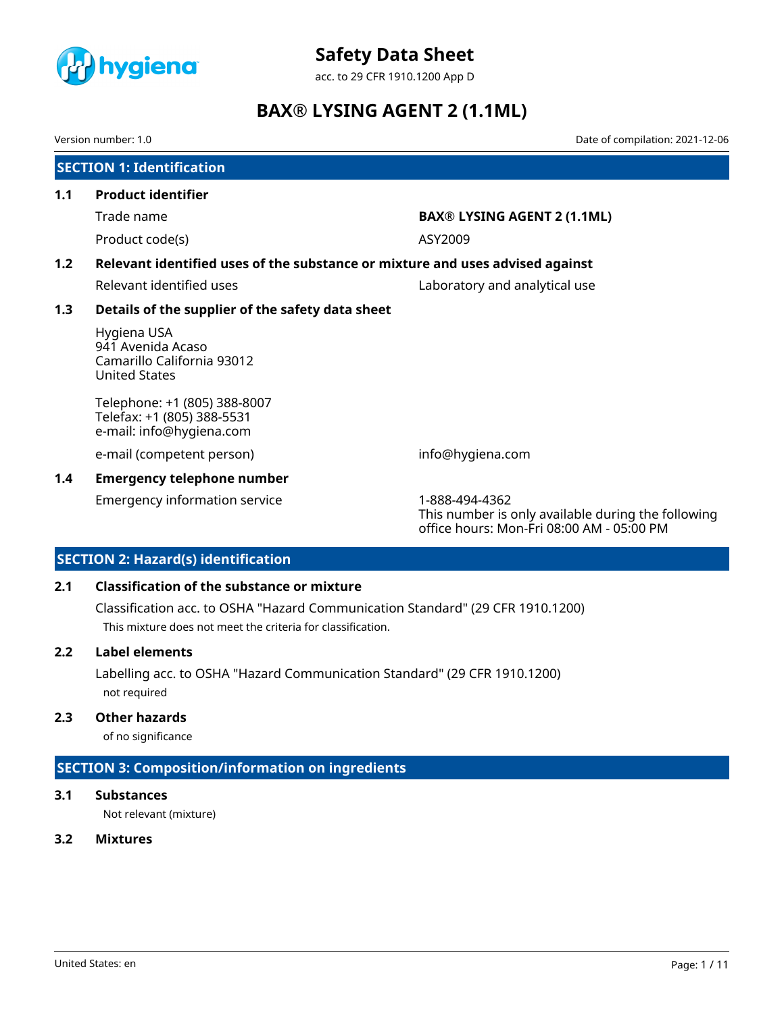

acc. to 29 CFR 1910.1200 App D

# **BAX® LYSING AGENT 2 (1.1ML)**

Version number: 1.0 Date of compilation: 2021-12-06

| <b>SECTION 1: Identification</b> |                                                                                        |                                                                      |  |  |
|----------------------------------|----------------------------------------------------------------------------------------|----------------------------------------------------------------------|--|--|
| 1.1                              | <b>Product identifier</b>                                                              |                                                                      |  |  |
|                                  | Trade name                                                                             | <b>BAX® LYSING AGENT 2 (1.1ML)</b>                                   |  |  |
|                                  | Product code(s)                                                                        | ASY2009                                                              |  |  |
| 1.2                              | Relevant identified uses of the substance or mixture and uses advised against          |                                                                      |  |  |
|                                  | Relevant identified uses                                                               | Laboratory and analytical use                                        |  |  |
| 1.3                              | Details of the supplier of the safety data sheet                                       |                                                                      |  |  |
|                                  | Hygiena USA<br>941 Avenida Acaso<br>Camarillo California 93012<br><b>United States</b> |                                                                      |  |  |
|                                  | Telephone: +1 (805) 388-8007<br>Telefax: +1 (805) 388-5531<br>e-mail: info@hygiena.com |                                                                      |  |  |
|                                  | e-mail (competent person)                                                              | info@hygiena.com                                                     |  |  |
| 1.4                              | <b>Emergency telephone number</b>                                                      |                                                                      |  |  |
|                                  | <b>Emergency information service</b>                                                   | 1-888-494-4362<br>This number is only available during the following |  |  |

office hours: Mon-Fri 08:00 AM - 05:00 PM

# **SECTION 2: Hazard(s) identification**

# **2.1 Classification of the substance or mixture**

Classification acc. to OSHA "Hazard Communication Standard" (29 CFR 1910.1200) This mixture does not meet the criteria for classification.

# **2.2 Label elements**

Labelling acc. to OSHA "Hazard Communication Standard" (29 CFR 1910.1200) not required

# **2.3 Other hazards**

of no significance

# **SECTION 3: Composition/information on ingredients**

# **3.1 Substances**

Not relevant (mixture)

# **3.2 Mixtures**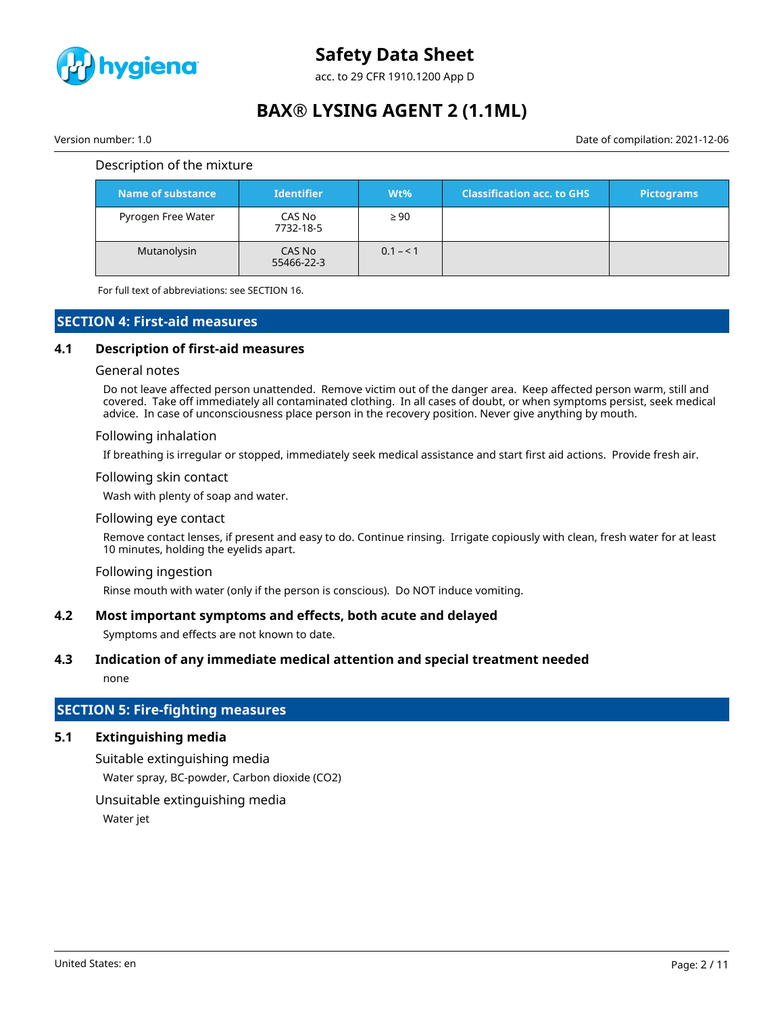

acc. to 29 CFR 1910.1200 App D

# **BAX® LYSING AGENT 2 (1.1ML)**

Version number: 1.0 Date of compilation: 2021-12-06

## Description of the mixture

| Name of substance  | <b>Identifier</b>    | $Wt\%$    | <b>Classification acc. to GHS</b> | <b>Pictograms</b> |
|--------------------|----------------------|-----------|-----------------------------------|-------------------|
| Pyrogen Free Water | CAS No<br>7732-18-5  | $\geq 90$ |                                   |                   |
| Mutanolysin        | CAS No<br>55466-22-3 | $0.1 - 1$ |                                   |                   |

For full text of abbreviations: see SECTION 16.

# **SECTION 4: First-aid measures**

# **4.1 Description of first-aid measures**

#### General notes

Do not leave affected person unattended. Remove victim out of the danger area. Keep affected person warm, still and covered. Take off immediately all contaminated clothing. In all cases of doubt, or when symptoms persist, seek medical advice. In case of unconsciousness place person in the recovery position. Never give anything by mouth.

#### Following inhalation

If breathing is irregular or stopped, immediately seek medical assistance and start first aid actions. Provide fresh air.

## Following skin contact

Wash with plenty of soap and water.

#### Following eye contact

Remove contact lenses, if present and easy to do. Continue rinsing. Irrigate copiously with clean, fresh water for at least 10 minutes, holding the eyelids apart.

#### Following ingestion

Rinse mouth with water (only if the person is conscious). Do NOT induce vomiting.

#### **4.2 Most important symptoms and effects, both acute and delayed**

Symptoms and effects are not known to date.

#### **4.3 Indication of any immediate medical attention and special treatment needed**

none

# **SECTION 5: Fire-fighting measures**

# **5.1 Extinguishing media**

Suitable extinguishing media Water spray, BC-powder, Carbon dioxide (CO2)

Unsuitable extinguishing media

Water jet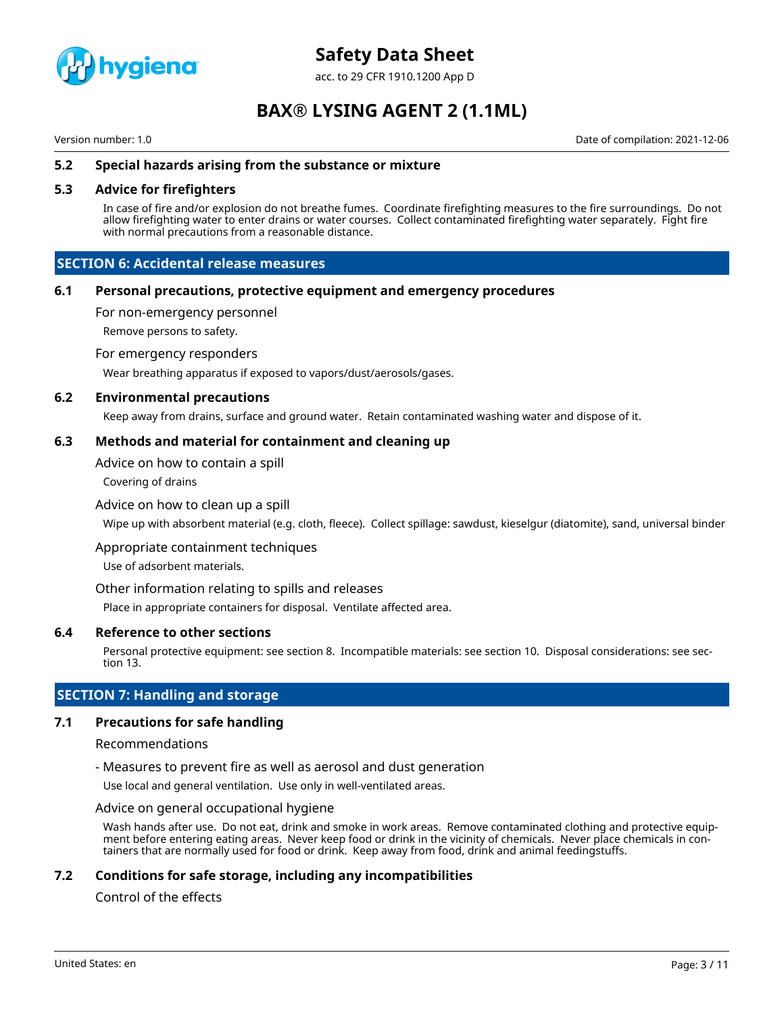

acc. to 29 CFR 1910.1200 App D

# **BAX® LYSING AGENT 2 (1.1ML)**

Version number: 1.0 Date of compilation: 2021-12-06

# **5.2 Special hazards arising from the substance or mixture**

## **5.3 Advice for firefighters**

In case of fire and/or explosion do not breathe fumes. Coordinate firefighting measures to the fire surroundings. Do not allow firefighting water to enter drains or water courses. Collect contaminated firefighting water separately. Fight fire with normal precautions from a reasonable distance.

# **SECTION 6: Accidental release measures**

## **6.1 Personal precautions, protective equipment and emergency procedures**

For non-emergency personnel

Remove persons to safety.

For emergency responders

Wear breathing apparatus if exposed to vapors/dust/aerosols/gases.

#### **6.2 Environmental precautions**

Keep away from drains, surface and ground water. Retain contaminated washing water and dispose of it.

## **6.3 Methods and material for containment and cleaning up**

Advice on how to contain a spill

Covering of drains

## Advice on how to clean up a spill

Wipe up with absorbent material (e.g. cloth, fleece). Collect spillage: sawdust, kieselgur (diatomite), sand, universal binder

Appropriate containment techniques

Use of adsorbent materials.

Other information relating to spills and releases

Place in appropriate containers for disposal. Ventilate affected area.

## **6.4 Reference to other sections**

Personal protective equipment: see section 8. Incompatible materials: see section 10. Disposal considerations: see section 13.

# **SECTION 7: Handling and storage**

# **7.1 Precautions for safe handling**

#### Recommendations

- Measures to prevent fire as well as aerosol and dust generation

Use local and general ventilation. Use only in well-ventilated areas.

## Advice on general occupational hygiene

Wash hands after use. Do not eat, drink and smoke in work areas. Remove contaminated clothing and protective equipment before entering eating areas. Never keep food or drink in the vicinity of chemicals. Never place chemicals in containers that are normally used for food or drink. Keep away from food, drink and animal feedingstuffs.

# **7.2 Conditions for safe storage, including any incompatibilities**

# Control of the effects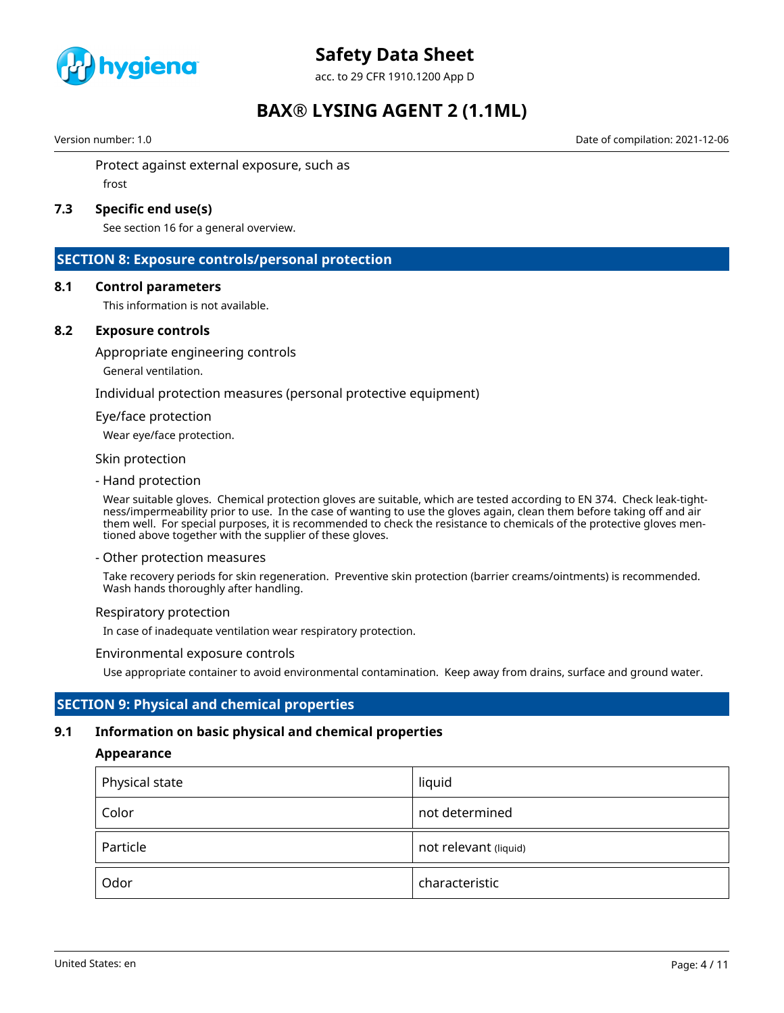

acc. to 29 CFR 1910.1200 App D

# **BAX® LYSING AGENT 2 (1.1ML)**

Version number: 1.0 Date of compilation: 2021-12-06

Protect against external exposure, such as frost

# **7.3 Specific end use(s)**

See section 16 for a general overview.

# **SECTION 8: Exposure controls/personal protection**

## **8.1 Control parameters**

This information is not available.

# **8.2 Exposure controls**

Appropriate engineering controls

General ventilation.

Individual protection measures (personal protective equipment)

#### Eye/face protection

Wear eye/face protection.

#### Skin protection

- Hand protection

Wear suitable gloves. Chemical protection gloves are suitable, which are tested according to EN 374. Check leak-tightness/impermeability prior to use. In the case of wanting to use the gloves again, clean them before taking off and air them well. For special purposes, it is recommended to check the resistance to chemicals of the protective gloves mentioned above together with the supplier of these gloves.

#### - Other protection measures

Take recovery periods for skin regeneration. Preventive skin protection (barrier creams/ointments) is recommended. Wash hands thoroughly after handling.

#### Respiratory protection

In case of inadequate ventilation wear respiratory protection.

#### Environmental exposure controls

Use appropriate container to avoid environmental contamination. Keep away from drains, surface and ground water.

# **SECTION 9: Physical and chemical properties**

# **9.1 Information on basic physical and chemical properties**

#### **Appearance**

| Physical state | liquid                |
|----------------|-----------------------|
| Color          | not determined        |
| Particle       | not relevant (liquid) |
| Odor           | characteristic        |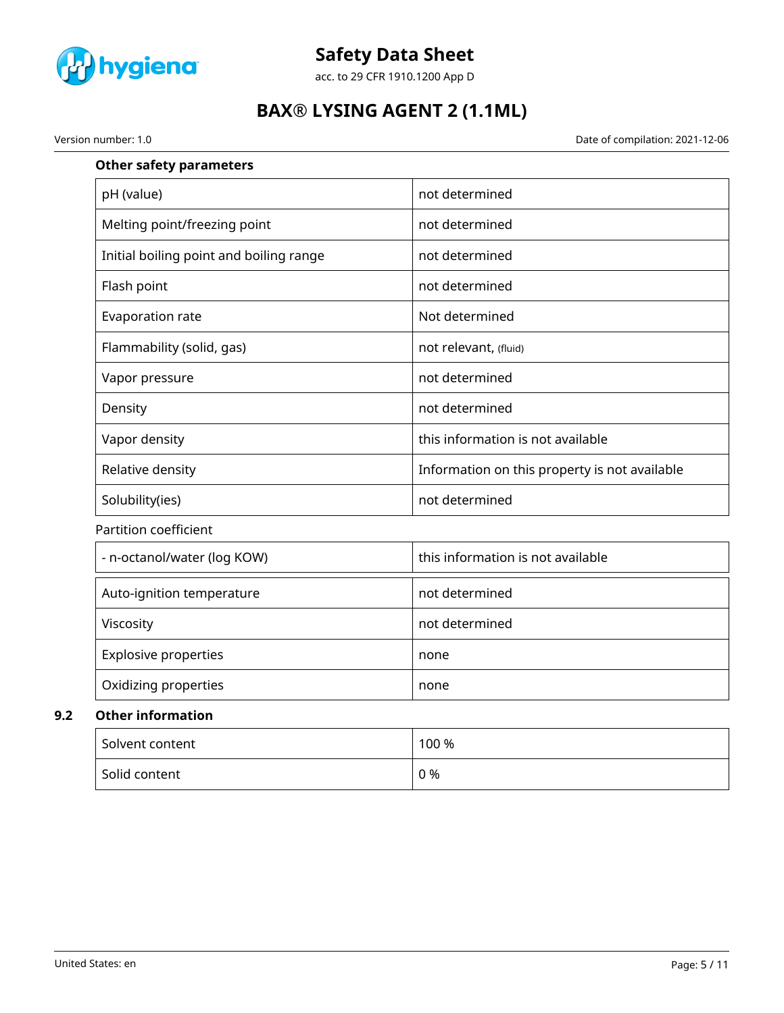

acc. to 29 CFR 1910.1200 App D

# **BAX® LYSING AGENT 2 (1.1ML)**

Version number: 1.0 Date of compilation: 2021-12-06

| <b>Other safety parameters</b>          |                                               |
|-----------------------------------------|-----------------------------------------------|
| pH (value)                              | not determined                                |
| Melting point/freezing point            | not determined                                |
| Initial boiling point and boiling range | not determined                                |
| Flash point                             | not determined                                |
| Evaporation rate                        | Not determined                                |
| Flammability (solid, gas)               | not relevant, (fluid)                         |
| Vapor pressure                          | not determined                                |
| Density                                 | not determined                                |
| Vapor density                           | this information is not available             |
| Relative density                        | Information on this property is not available |
| Solubility(ies)                         | not determined                                |
| <b>Partition coefficient</b>            |                                               |
| - n-octanol/water (log KOW)             | this information is not available             |
| Auto-ignition temperature               | not determined                                |
| Viscosity                               | not determined                                |
| <b>Explosive properties</b>             | none                                          |
| Oxidizing properties                    | none                                          |
| <b>Other information</b>                |                                               |
| Solvent content                         | 100 %                                         |

| Solvent content | 100 % |
|-----------------|-------|
| Solid content   | 0 %   |

**9.2**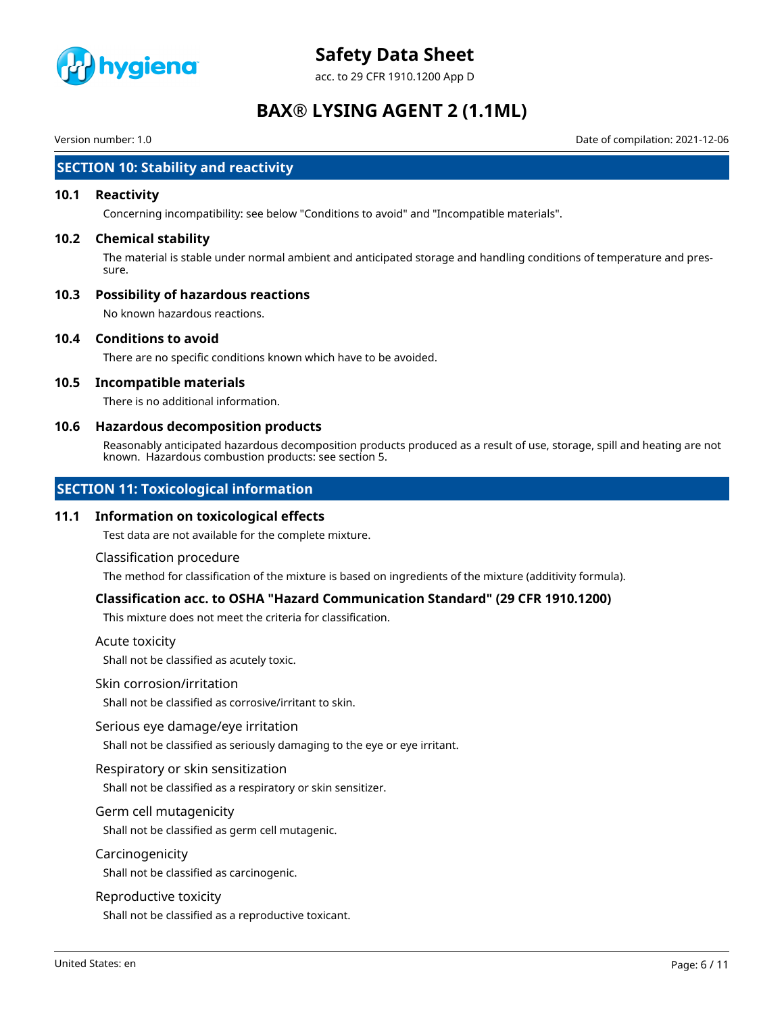

acc. to 29 CFR 1910.1200 App D

# **BAX® LYSING AGENT 2 (1.1ML)**

Version number: 1.0 Date of compilation: 2021-12-06

# **SECTION 10: Stability and reactivity**

## **10.1 Reactivity**

Concerning incompatibility: see below "Conditions to avoid" and "Incompatible materials".

## **10.2 Chemical stability**

The material is stable under normal ambient and anticipated storage and handling conditions of temperature and pressure.

# **10.3 Possibility of hazardous reactions**

No known hazardous reactions.

## **10.4 Conditions to avoid**

There are no specific conditions known which have to be avoided.

# **10.5 Incompatible materials**

There is no additional information.

## **10.6 Hazardous decomposition products**

Reasonably anticipated hazardous decomposition products produced as a result of use, storage, spill and heating are not known. Hazardous combustion products: see section 5.

# **SECTION 11: Toxicological information**

#### **11.1 Information on toxicological effects**

Test data are not available for the complete mixture.

#### Classification procedure

The method for classification of the mixture is based on ingredients of the mixture (additivity formula).

# **Classification acc. to OSHA "Hazard Communication Standard" (29 CFR 1910.1200)**

This mixture does not meet the criteria for classification.

#### Acute toxicity

Shall not be classified as acutely toxic.

#### Skin corrosion/irritation

Shall not be classified as corrosive/irritant to skin.

#### Serious eye damage/eye irritation

Shall not be classified as seriously damaging to the eye or eye irritant.

## Respiratory or skin sensitization

Shall not be classified as a respiratory or skin sensitizer.

# Germ cell mutagenicity

Shall not be classified as germ cell mutagenic.

#### Carcinogenicity

Shall not be classified as carcinogenic.

#### Reproductive toxicity

Shall not be classified as a reproductive toxicant.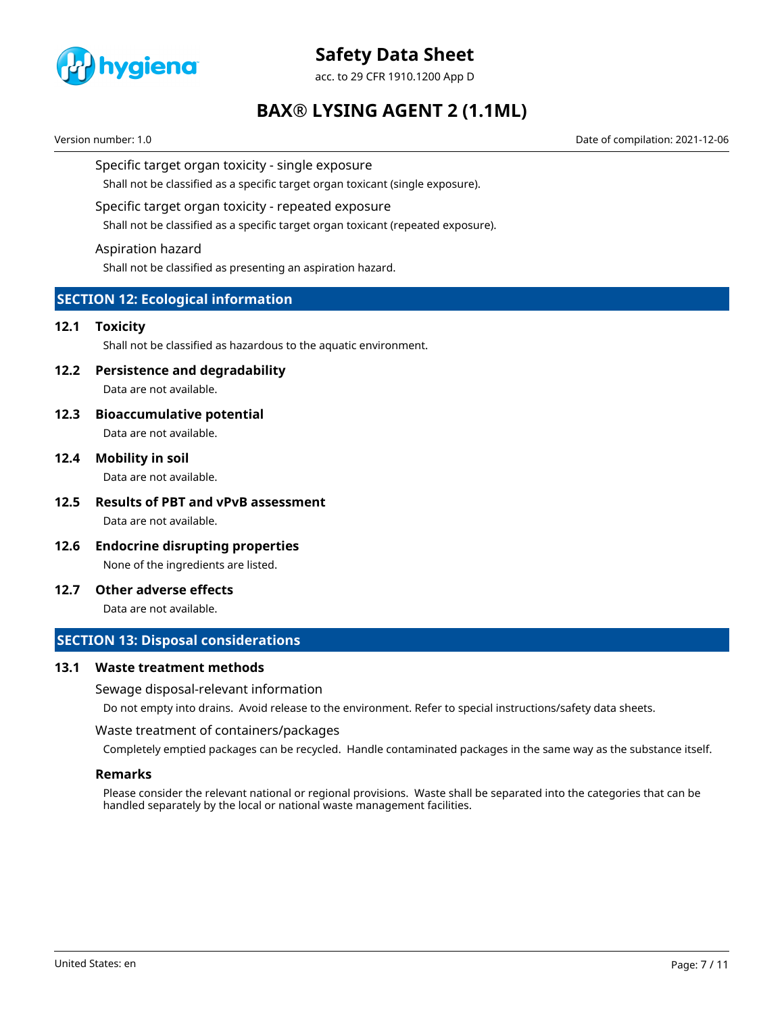

acc. to 29 CFR 1910.1200 App D

# **BAX® LYSING AGENT 2 (1.1ML)**

Version number: 1.0 Date of compilation: 2021-12-06

## Specific target organ toxicity - single exposure

Shall not be classified as a specific target organ toxicant (single exposure).

## Specific target organ toxicity - repeated exposure

Shall not be classified as a specific target organ toxicant (repeated exposure).

## Aspiration hazard

Shall not be classified as presenting an aspiration hazard.

# **SECTION 12: Ecological information**

## **12.1 Toxicity**

Shall not be classified as hazardous to the aquatic environment.

# **12.2 Persistence and degradability**

Data are not available.

# **12.3 Bioaccumulative potential**

Data are not available.

# **12.4 Mobility in soil**

Data are not available.

- **12.5 Results of PBT and vPvB assessment** Data are not available.
- **12.6 Endocrine disrupting properties** None of the ingredients are listed.

# **12.7 Other adverse effects**

Data are not available.

# **SECTION 13: Disposal considerations**

## **13.1 Waste treatment methods**

#### Sewage disposal-relevant information

Do not empty into drains. Avoid release to the environment. Refer to special instructions/safety data sheets.

#### Waste treatment of containers/packages

Completely emptied packages can be recycled. Handle contaminated packages in the same way as the substance itself.

# **Remarks**

Please consider the relevant national or regional provisions. Waste shall be separated into the categories that can be handled separately by the local or national waste management facilities.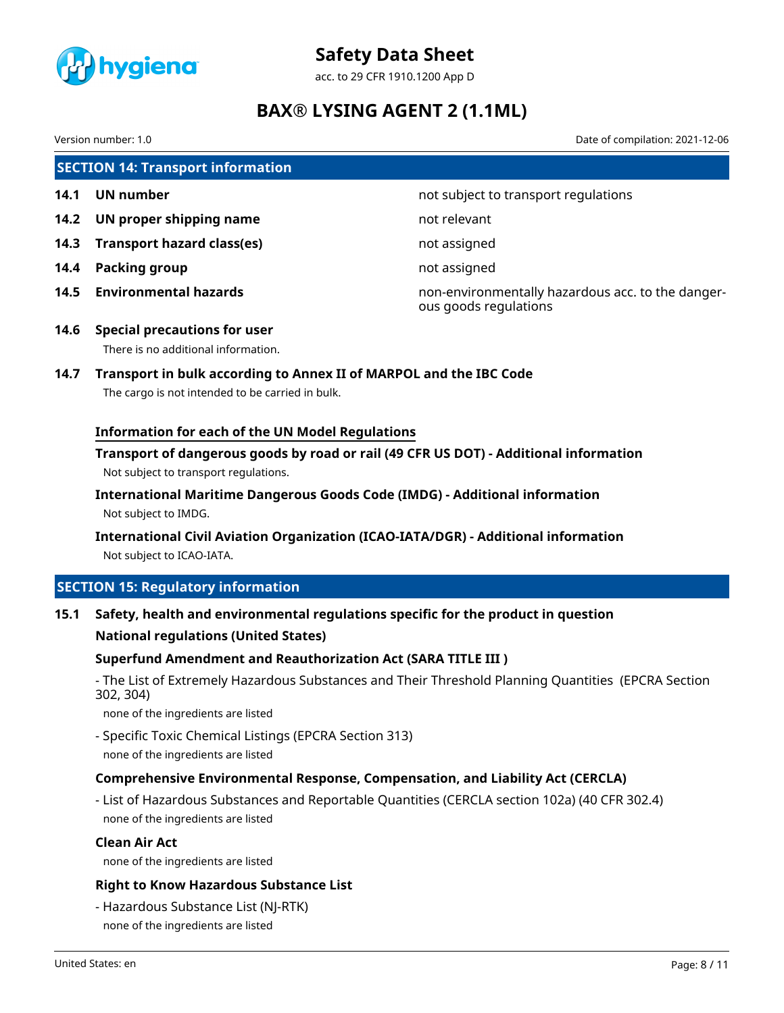

acc. to 29 CFR 1910.1200 App D

# **BAX® LYSING AGENT 2 (1.1ML)**

Version number: 1.0 Date of compilation: 2021-12-06

**SECTION 14: Transport information 14.1 UN number 14.1 UN** number **14.2 UN proper shipping name** not relevant **14.3 Transport hazard class(es)** not assigned **14.4 Packing group not assigned** 

**14.5 Environmental hazards** non-environmentally hazardous acc. to the dangerous goods regulations

- **14.6 Special precautions for user** There is no additional information.
- **14.7 Transport in bulk according to Annex II of MARPOL and the IBC Code**

The cargo is not intended to be carried in bulk.

# **Information for each of the UN Model Regulations**

**Transport of dangerous goods by road or rail (49 CFR US DOT) - Additional information** Not subject to transport regulations.

**International Maritime Dangerous Goods Code (IMDG) - Additional information** Not subject to IMDG.

**International Civil Aviation Organization (ICAO-IATA/DGR) - Additional information** Not subject to ICAO-IATA.

# **SECTION 15: Regulatory information**

**15.1 Safety, health and environmental regulations specific for the product in question**

# **National regulations (United States)**

# **Superfund Amendment and Reauthorization Act (SARA TITLE III )**

- The List of Extremely Hazardous Substances and Their Threshold Planning Quantities (EPCRA Section 302, 304)

none of the ingredients are listed

- Specific Toxic Chemical Listings (EPCRA Section 313) none of the ingredients are listed

# **Comprehensive Environmental Response, Compensation, and Liability Act (CERCLA)**

- List of Hazardous Substances and Reportable Quantities (CERCLA section 102a) (40 CFR 302.4) none of the ingredients are listed

## **Clean Air Act**

none of the ingredients are listed

# **Right to Know Hazardous Substance List**

- Hazardous Substance List (NJ-RTK) none of the ingredients are listed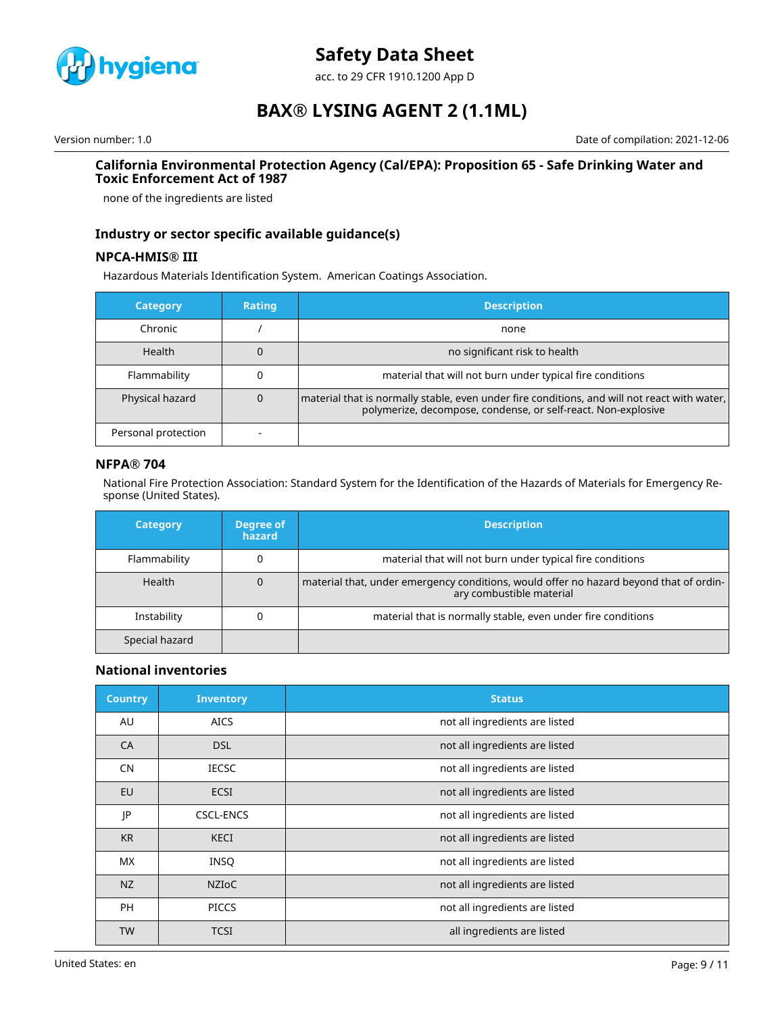

acc. to 29 CFR 1910.1200 App D

# **BAX® LYSING AGENT 2 (1.1ML)**

Version number: 1.0 Date of compilation: 2021-12-06

## **California Environmental Protection Agency (Cal/EPA): Proposition 65 - Safe Drinking Water and Toxic Enforcement Act of 1987**

none of the ingredients are listed

# **Industry or sector specific available guidance(s)**

# **NPCA-HMIS® III**

Hazardous Materials Identification System. American Coatings Association.

| <b>Category</b>     | Rating | <b>Description</b>                                                                                                                                              |
|---------------------|--------|-----------------------------------------------------------------------------------------------------------------------------------------------------------------|
| Chronic             |        | none                                                                                                                                                            |
| <b>Health</b>       |        | no significant risk to health                                                                                                                                   |
| Flammability        |        | material that will not burn under typical fire conditions                                                                                                       |
| Physical hazard     |        | material that is normally stable, even under fire conditions, and will not react with water,  <br>polymerize, decompose, condense, or self-react. Non-explosive |
| Personal protection |        |                                                                                                                                                                 |

# **NFPA® 704**

National Fire Protection Association: Standard System for the Identification of the Hazards of Materials for Emergency Response (United States).

| <b>Category</b> | Degree of<br>hazard | <b>Description</b>                                                                                                 |
|-----------------|---------------------|--------------------------------------------------------------------------------------------------------------------|
| Flammability    |                     | material that will not burn under typical fire conditions                                                          |
| Health          | 0                   | material that, under emergency conditions, would offer no hazard beyond that of ordin-<br>ary combustible material |
| Instability     |                     | material that is normally stable, even under fire conditions                                                       |
| Special hazard  |                     |                                                                                                                    |

# **National inventories**

| <b>Country</b> | <b>Inventory</b> | <b>Status</b>                  |
|----------------|------------------|--------------------------------|
| AU             | <b>AICS</b>      | not all ingredients are listed |
| CA             | <b>DSL</b>       | not all ingredients are listed |
| <b>CN</b>      | <b>IECSC</b>     | not all ingredients are listed |
| EU             | <b>ECSI</b>      | not all ingredients are listed |
| JP             | <b>CSCL-ENCS</b> | not all ingredients are listed |
| <b>KR</b>      | <b>KECI</b>      | not all ingredients are listed |
| <b>MX</b>      | <b>INSQ</b>      | not all ingredients are listed |
| NZ             | <b>NZIOC</b>     | not all ingredients are listed |
| <b>PH</b>      | <b>PICCS</b>     | not all ingredients are listed |
| <b>TW</b>      | <b>TCSI</b>      | all ingredients are listed     |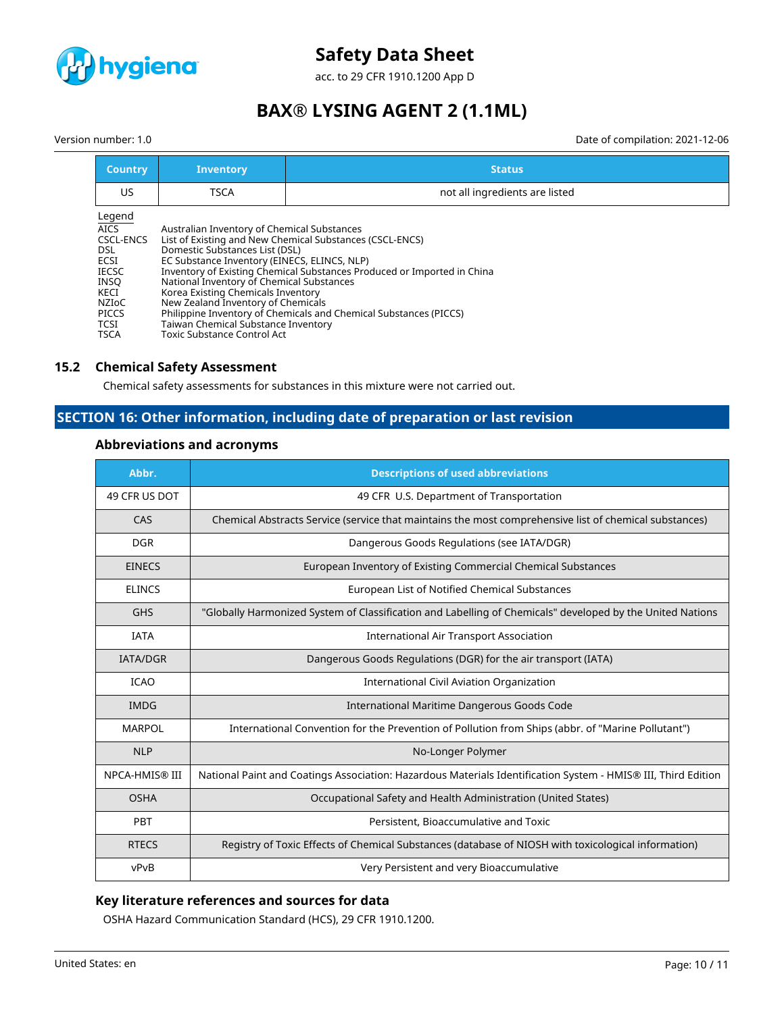

acc. to 29 CFR 1910.1200 App D

# **BAX® LYSING AGENT 2 (1.1ML)**

Version number: 1.0 Date of compilation: 2021-12-06

| <b>Country</b>                                                                                                                           | <b>Inventory</b>                                                                                                                                                                                                                                                                                                                                                                                                                                                                                                                                | <b>Status</b>                  |
|------------------------------------------------------------------------------------------------------------------------------------------|-------------------------------------------------------------------------------------------------------------------------------------------------------------------------------------------------------------------------------------------------------------------------------------------------------------------------------------------------------------------------------------------------------------------------------------------------------------------------------------------------------------------------------------------------|--------------------------------|
| US                                                                                                                                       | <b>TSCA</b>                                                                                                                                                                                                                                                                                                                                                                                                                                                                                                                                     | not all ingredients are listed |
| Legend<br><b>AICS</b><br><b>CSCL-ENCS</b><br><b>DSL</b><br>ECSI<br>IECSC<br>INSO<br>KECI<br>NZIoC<br><b>PICCS</b><br>TCSI<br><b>TSCA</b> | Australian Inventory of Chemical Substances<br>List of Existing and New Chemical Substances (CSCL-ENCS)<br>Domestic Substances List (DSL)<br>EC Substance Inventory (EINECS, ELINCS, NLP)<br>Inventory of Existing Chemical Substances Produced or Imported in China<br>National Inventory of Chemical Substances<br>Korea Existing Chemicals Inventory<br>New Zealand Inventory of Chemicals<br>Philippine Inventory of Chemicals and Chemical Substances (PICCS)<br>Taiwan Chemical Substance Inventory<br><b>Toxic Substance Control Act</b> |                                |

# **15.2 Chemical Safety Assessment**

Chemical safety assessments for substances in this mixture were not carried out.

# **SECTION 16: Other information, including date of preparation or last revision**

# **Abbreviations and acronyms**

| Abbr.           | <b>Descriptions of used abbreviations</b>                                                                     |
|-----------------|---------------------------------------------------------------------------------------------------------------|
| 49 CFR US DOT   | 49 CFR U.S. Department of Transportation                                                                      |
| CAS             | Chemical Abstracts Service (service that maintains the most comprehensive list of chemical substances)        |
| <b>DGR</b>      | Dangerous Goods Regulations (see IATA/DGR)                                                                    |
| <b>EINECS</b>   | European Inventory of Existing Commercial Chemical Substances                                                 |
| <b>ELINCS</b>   | European List of Notified Chemical Substances                                                                 |
| <b>GHS</b>      | "Globally Harmonized System of Classification and Labelling of Chemicals" developed by the United Nations     |
| <b>IATA</b>     | <b>International Air Transport Association</b>                                                                |
| <b>IATA/DGR</b> | Dangerous Goods Regulations (DGR) for the air transport (IATA)                                                |
| <b>ICAO</b>     | International Civil Aviation Organization                                                                     |
| <b>IMDG</b>     | International Maritime Dangerous Goods Code                                                                   |
| <b>MARPOL</b>   | International Convention for the Prevention of Pollution from Ships (abbr. of "Marine Pollutant")             |
| <b>NLP</b>      | No-Longer Polymer                                                                                             |
| NPCA-HMIS® III  | National Paint and Coatings Association: Hazardous Materials Identification System - HMIS® III, Third Edition |
| <b>OSHA</b>     | Occupational Safety and Health Administration (United States)                                                 |
| <b>PBT</b>      | Persistent, Bioaccumulative and Toxic                                                                         |
| <b>RTECS</b>    | Registry of Toxic Effects of Chemical Substances (database of NIOSH with toxicological information)           |
| vPvB            | Very Persistent and very Bioaccumulative                                                                      |

# **Key literature references and sources for data**

OSHA Hazard Communication Standard (HCS), 29 CFR 1910.1200.